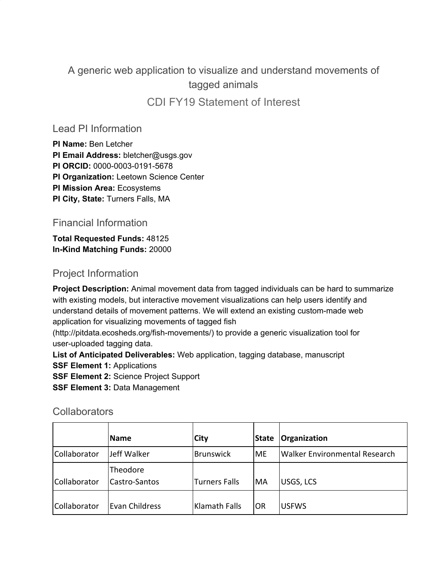# A generic web application to visualize and understand movements of tagged animals

CDI FY19 Statement of Interest

Lead PI Information

**PI Name:** Ben Letcher **PI Email Address:** bletcher@usgs.gov **PI ORCID:** 0000-0003-0191-5678 **PI Organization:** Leetown Science Center **PI Mission Area:** Ecosystems **PI City, State:** Turners Falls, MA

Financial Information

**Total Requested Funds:** 48125 **In-Kind Matching Funds:** 20000

## Project Information

**Project Description:** Animal movement data from tagged individuals can be hard to summarize with existing models, but interactive movement visualizations can help users identify and understand details of movement patterns. We will extend an existing custom-made web application for visualizing movements of tagged fish

(http://pitdata.ecosheds.org/fish-movements/) to provide a generic visualization tool for user-uploaded tagging data.

**List of Anticipated Deliverables:** Web application, tagging database, manuscript

**SSF Element 1:** Applications

**SSF Element 2:** Science Project Support

**SSF Element 3:** Data Management

### **Collaborators**

|              | Name                      | <b>City</b>          | <b>State</b> | Organization                         |
|--------------|---------------------------|----------------------|--------------|--------------------------------------|
| Collaborator | Jeff Walker               | <b>Brunswick</b>     | IME.         | <b>Walker Environmental Research</b> |
| Collaborator | Theodore<br>Castro-Santos | <b>Turners Falls</b> | <b>MA</b>    | USGS, LCS                            |
| Collaborator | Evan Childress            | Klamath Falls        | OR           | <b>USFWS</b>                         |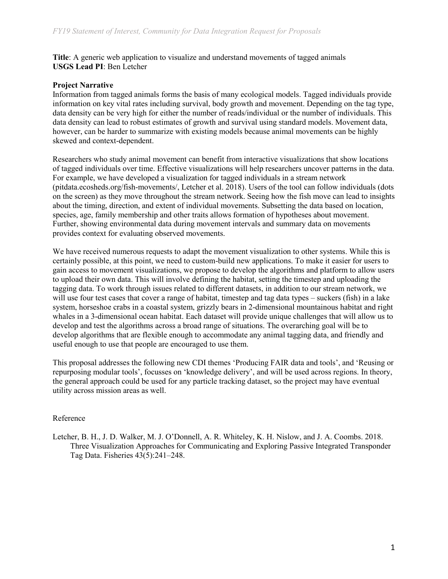**Title**: A generic web application to visualize and understand movements of tagged animals **USGS Lead PI**: Ben Letcher

#### **Project Narrative**

Information from tagged animals forms the basis of many ecological models. Tagged individuals provide information on key vital rates including survival, body growth and movement. Depending on the tag type, data density can be very high for either the number of reads/individual or the number of individuals. This data density can lead to robust estimates of growth and survival using standard models. Movement data, however, can be harder to summarize with existing models because animal movements can be highly skewed and context-dependent.

Researchers who study animal movement can benefit from interactive visualizations that show locations of tagged individuals over time. Effective visualizations will help researchers uncover patterns in the data. For example, we have developed a visualization for tagged individuals in a stream network (pitdata.ecosheds.org/fish-movements/, Letcher et al. 2018). Users of the tool can follow individuals (dots on the screen) as they move throughout the stream network. Seeing how the fish move can lead to insights about the timing, direction, and extent of individual movements. Subsetting the data based on location, species, age, family membership and other traits allows formation of hypotheses about movement. Further, showing environmental data during movement intervals and summary data on movements provides context for evaluating observed movements.

We have received numerous requests to adapt the movement visualization to other systems. While this is certainly possible, at this point, we need to custom-build new applications. To make it easier for users to gain access to movement visualizations, we propose to develop the algorithms and platform to allow users to upload their own data. This will involve defining the habitat, setting the timestep and uploading the tagging data. To work through issues related to different datasets, in addition to our stream network, we will use four test cases that cover a range of habitat, timestep and tag data types – suckers (fish) in a lake system, horseshoe crabs in a coastal system, grizzly bears in 2-dimensional mountainous habitat and right whales in a 3-dimensional ocean habitat. Each dataset will provide unique challenges that will allow us to develop and test the algorithms across a broad range of situations. The overarching goal will be to develop algorithms that are flexible enough to accommodate any animal tagging data, and friendly and useful enough to use that people are encouraged to use them.

This proposal addresses the following new CDI themes 'Producing FAIR data and tools', and 'Reusing or repurposing modular tools', focusses on 'knowledge delivery', and will be used across regions. In theory, the general approach could be used for any particle tracking dataset, so the project may have eventual utility across mission areas as well.

#### Reference

Letcher, B. H., J. D. Walker, M. J. O'Donnell, A. R. Whiteley, K. H. Nislow, and J. A. Coombs. 2018. Three Visualization Approaches for Communicating and Exploring Passive Integrated Transponder Tag Data. Fisheries 43(5):241–248.